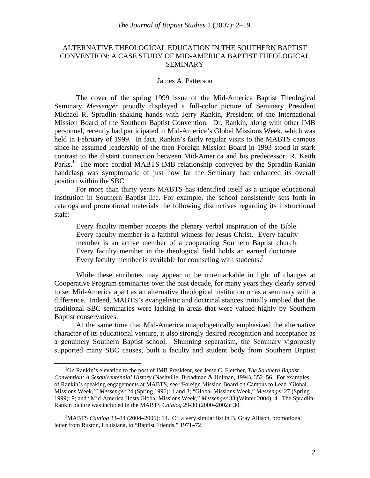# ALTERNATIVE THEOLOGICAL EDUCATION IN THE SOUTHERN BAPTIST CONVENTION: A CASE STUDY OF MID-AMERICA BAPTIST THEOLOGICAL SEMINARY

#### James A. Patterson

The cover of the spring 1999 issue of the Mid-America Baptist Theological Seminary *Messenger* proudly displayed a full-color picture of Seminary President Michael R. Spradlin shaking hands with Jerry Rankin, President of the International Mission Board of the Southern Baptist Convention. Dr. Rankin, along with other IMB personnel, recently had participated in Mid-America's Global Missions Week, which was held in February of 1999. In fact, Rankin's fairly regular visits to the MABTS campus since he assumed leadership of the then Foreign Mission Board in 1993 stood in stark contrast to the distant connection between Mid-America and his predecessor, R. Keith Parks.<sup>1</sup> The more cordial MABTS-IMB relationship conveyed by the Spradlin-Rankin handclasp was symptomatic of just how far the Seminary had enhanced its overall position within the SBC.

For more than thirty years MABTS has identified itself as a unique educational institution in Southern Baptist life. For example, the school consistently sets forth in catalogs and promotional materials the following distinctives regarding its instructional staff:

Every faculty member accepts the plenary verbal inspiration of the Bible. Every faculty member is a faithful witness for Jesus Christ. Every faculty member is an active member of a cooperating Southern Baptist church. Every faculty member in the theological field holds an earned doctorate. Every faculty member is available for counseling with students. $<sup>2</sup>$ </sup>

While these attributes may appear to be unremarkable in light of changes at Cooperative Program seminaries over the past decade, for many years they clearly served to set Mid-America apart as an alternative theological institution or as a seminary with a difference. Indeed, MABTS's evangelistic and doctrinal stances initially implied that the traditional SBC seminaries were lacking in areas that were valued highly by Southern Baptist conservatives.

At the same time that Mid-America unapologetically emphasized the alternative character of its educational venture, it also strongly desired recognition and acceptance as a genuinely Southern Baptist school. Shunning separatism, the Seminary vigorously supported many SBC causes, built a faculty and student body from Southern Baptist

 <sup>1</sup> <sup>1</sup>On Rankin's elevation to the post of IMB President, see Jesse C. Fletcher, *The Southern Baptist Convention: A Sesquicentennial History* (Nashville: Broadman & Holman, 1994), 352–56. For examples of Rankin's speaking engagements at MABTS, see "Foreign Mission Board on Campus to Lead 'Global Missions Week,'" *Messenger* 24 (Spring 1996): 1 and 3; "Global Missions Week," *Messenger* 27 (Spring 1999): 9; and "Mid-America Hosts Global Missions Week," *Messenger* 33 (Winter 2004): 4. The Spradlin-Rankin picture was included in the MABTS *Catalog* 29-30 (2000–2002): 30.

<sup>&</sup>lt;sup>2</sup>MABTS *Catalog* 33–34 (2004–2006): 14. Cf. a very similar list in B. Gray Allison, promotional letter from Ruston, Louisiana, to "Baptist Friends," 1971–72.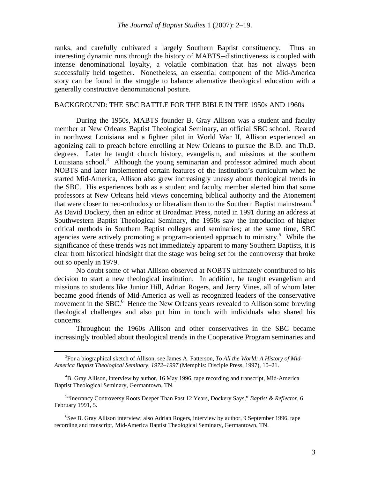ranks, and carefully cultivated a largely Southern Baptist constituency. Thus an interesting dynamic runs through the history of MABTS--distinctiveness is coupled with intense denominational loyalty, a volatile combination that has not always been successfully held together. Nonetheless, an essential component of the Mid-America story can be found in the struggle to balance alternative theological education with a generally constructive denominational posture.

# BACKGROUND: THE SBC BATTLE FOR THE BIBLE IN THE 1950s AND 1960s

During the 1950s, MABTS founder B. Gray Allison was a student and faculty member at New Orleans Baptist Theological Seminary, an official SBC school. Reared in northwest Louisiana and a fighter pilot in World War II, Allison experienced an agonizing call to preach before enrolling at New Orleans to pursue the B.D. and Th.D. degrees. Later he taught church history, evangelism, and missions at the southern Louisiana school.<sup>3</sup> Although the young seminarian and professor admired much about NOBTS and later implemented certain features of the institution's curriculum when he started Mid-America, Allison also grew increasingly uneasy about theological trends in the SBC. His experiences both as a student and faculty member alerted him that some professors at New Orleans held views concerning biblical authority and the Atonement that were closer to neo-orthodoxy or liberalism than to the Southern Baptist mainstream.<sup>4</sup> As David Dockery, then an editor at Broadman Press, noted in 1991 during an address at Southwestern Baptist Theological Seminary, the 1950s saw the introduction of higher critical methods in Southern Baptist colleges and seminaries; at the same time, SBC agencies were actively promoting a program-oriented approach to ministry.<sup>5</sup> While the significance of these trends was not immediately apparent to many Southern Baptists, it is clear from historical hindsight that the stage was being set for the controversy that broke out so openly in 1979.

No doubt some of what Allison observed at NOBTS ultimately contributed to his decision to start a new theological institution. In addition, he taught evangelism and missions to students like Junior Hill, Adrian Rogers, and Jerry Vines, all of whom later became good friends of Mid-America as well as recognized leaders of the conservative movement in the SBC.<sup>6</sup> Hence the New Orleans years revealed to Allison some brewing theological challenges and also put him in touch with individuals who shared his concerns.

Throughout the 1960s Allison and other conservatives in the SBC became increasingly troubled about theological trends in the Cooperative Program seminaries and

 $\frac{1}{3}$ For a biographical sketch of Allison, see James A. Patterson, *To All the World: A History of Mid-America Baptist Theological Seminary, 1972–1997* (Memphis: Disciple Press, 1997), 10–21.

<sup>&</sup>lt;sup>4</sup>B. Gray Allison, interview by author, 16 May 1996, tape recording and transcript, Mid-America Baptist Theological Seminary, Germantown, TN.

<sup>5</sup> "Inerrancy Controversy Roots Deeper Than Past 12 Years, Dockery Says," *Baptist & Reflector*, 6 February 1991, 5.

<sup>&</sup>lt;sup>6</sup>See B. Gray Allison interview; also Adrian Rogers, interview by author, 9 September 1996, tape recording and transcript, Mid-America Baptist Theological Seminary, Germantown, TN.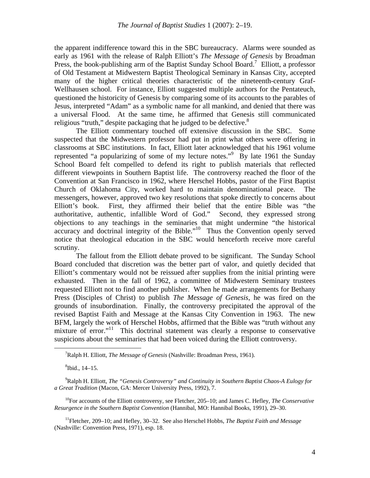the apparent indifference toward this in the SBC bureaucracy. Alarms were sounded as early as 1961 with the release of Ralph Elliott's *The Message of Genesis* by Broadman Press, the book-publishing arm of the Baptist Sunday School Board.<sup>7</sup> Elliott, a professor of Old Testament at Midwestern Baptist Theological Seminary in Kansas City, accepted many of the higher critical theories characteristic of the nineteenth-century Graf-Wellhausen school. For instance, Elliott suggested multiple authors for the Pentateuch, questioned the historicity of Genesis by comparing some of its accounts to the parables of Jesus, interpreted "Adam" as a symbolic name for all mankind, and denied that there was a universal Flood. At the same time, he affirmed that Genesis still communicated religious "truth," despite packaging that he judged to be defective. $8<sup>8</sup>$ 

The Elliott commentary touched off extensive discussion in the SBC. Some suspected that the Midwestern professor had put in print what others were offering in classrooms at SBC institutions. In fact, Elliott later acknowledged that his 1961 volume represented "a popularizing of some of my lecture notes."<sup>9</sup> By late 1961 the Sunday School Board felt compelled to defend its right to publish materials that reflected different viewpoints in Southern Baptist life. The controversy reached the floor of the Convention at San Francisco in 1962, where Herschel Hobbs, pastor of the First Baptist Church of Oklahoma City, worked hard to maintain denominational peace. The messengers, however, approved two key resolutions that spoke directly to concerns about Elliott's book. First, they affirmed their belief that the entire Bible was "the authoritative, authentic, infallible Word of God." Second, they expressed strong objections to any teachings in the seminaries that might undermine "the historical accuracy and doctrinal integrity of the Bible."<sup>10</sup> Thus the Convention openly served notice that theological education in the SBC would henceforth receive more careful scrutiny.

The fallout from the Elliott debate proved to be significant. The Sunday School Board concluded that discretion was the better part of valor, and quietly decided that Elliott's commentary would not be reissued after supplies from the initial printing were exhausted. Then in the fall of 1962, a committee of Midwestern Seminary trustees requested Elliott not to find another publisher. When he made arrangements for Bethany Press (Disciples of Christ) to publish *The Message of Genesis*, he was fired on the grounds of insubordination. Finally, the controversy precipitated the approval of the revised Baptist Faith and Message at the Kansas City Convention in 1963. The new BFM, largely the work of Herschel Hobbs, affirmed that the Bible was "truth without any mixture of error."<sup>11</sup> This doctrinal statement was clearly a response to conservative suspicions about the seminaries that had been voiced during the Elliott controversy.

10For accounts of the Elliott controversy, see Fletcher, 205–10; and James C. Hefley, *The Conservative Resurgence in the Southern Baptist Convention* (Hannibal, MO: Hannibal Books, 1991), 29–30.

11Fletcher, 209–10; and Hefley, 30–32. See also Herschel Hobbs, *The Baptist Faith and Message* (Nashville: Convention Press, 1971), esp. 18.

 $\frac{1}{7}$ Ralph H. Elliott, *The Message of Genesis* (Nashville: Broadman Press, 1961).

<sup>8</sup> Ibid., 14–15.

<sup>9</sup> Ralph H. Elliott, *The "Genesis Controversy" and Continuity in Southern Baptist Chaos-A Eulogy for a Great Tradition* (Macon, GA: Mercer University Press, 1992), 7.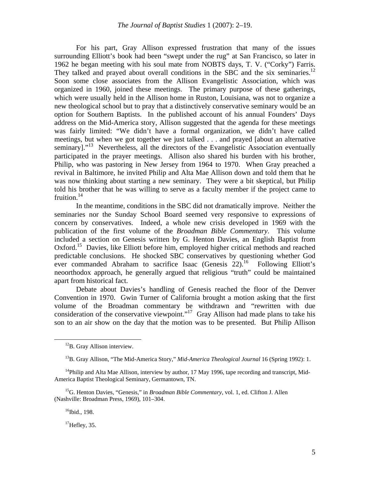For his part, Gray Allison expressed frustration that many of the issues surrounding Elliott's book had been "swept under the rug" at San Francisco, so later in 1962 he began meeting with his soul mate from NOBTS days, T. V. ("Corky") Farris. They talked and prayed about overall conditions in the SBC and the six seminaries.<sup>12</sup> Soon some close associates from the Allison Evangelistic Association, which was organized in 1960, joined these meetings. The primary purpose of these gatherings, which were usually held in the Allison home in Ruston, Louisiana, was not to organize a new theological school but to pray that a distinctively conservative seminary would be an option for Southern Baptists. In the published account of his annual Founders' Days address on the Mid-America story, Allison suggested that the agenda for these meetings was fairly limited: "We didn't have a formal organization, we didn't have called meetings, but when we got together we just talked . . . and prayed [about an alternative seminary]."<sup>13</sup> Nevertheless, all the directors of the Evangelistic Association eventually participated in the prayer meetings. Allison also shared his burden with his brother, Philip, who was pastoring in New Jersey from 1964 to 1970. When Gray preached a revival in Baltimore, he invited Philip and Alta Mae Allison down and told them that he was now thinking about starting a new seminary. They were a bit skeptical, but Philip told his brother that he was willing to serve as a faculty member if the project came to fruition. $14$ 

In the meantime, conditions in the SBC did not dramatically improve. Neither the seminaries nor the Sunday School Board seemed very responsive to expressions of concern by conservatives. Indeed, a whole new crisis developed in 1969 with the publication of the first volume of the *Broadman Bible Commentary*. This volume included a section on Genesis written by G. Henton Davies, an English Baptist from Oxford.<sup>15</sup> Davies, like Elliott before him, employed higher critical methods and reached predictable conclusions. He shocked SBC conservatives by questioning whether God ever commanded Abraham to sacrifice Isaac (Genesis 22).<sup>16</sup> Following Elliott's neoorthodox approach, he generally argued that religious "truth" could be maintained apart from historical fact.

Debate about Davies's handling of Genesis reached the floor of the Denver Convention in 1970. Gwin Turner of California brought a motion asking that the first volume of the Broadman commentary be withdrawn and "rewritten with due consideration of the conservative viewpoint."<sup>17</sup> Gray Allison had made plans to take his son to an air show on the day that the motion was to be presented. But Philip Allison

15G. Henton Davies, "Genesis," in *Broadman Bible Commentary*, vol. 1, ed. Clifton J. Allen (Nashville: Broadman Press, 1969), 101–304.

 $16$ Ibid., 198.

 $<sup>17</sup>$ Hefley, 35.</sup>

<sup>&</sup>lt;sup>12</sup>B. Gray Allison interview.

<sup>&</sup>lt;sup>13</sup>B. Gray Allison, "The Mid-America Story," *Mid-America Theological Journal* 16 (Spring 1992): 1.

 $14$ Philip and Alta Mae Allison, interview by author, 17 May 1996, tape recording and transcript, Mid-America Baptist Theological Seminary, Germantown, TN.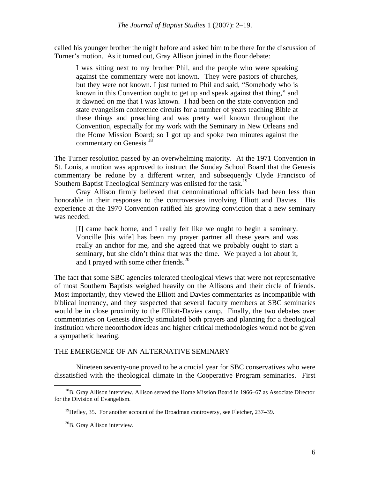called his younger brother the night before and asked him to be there for the discussion of Turner's motion. As it turned out, Gray Allison joined in the floor debate:

I was sitting next to my brother Phil, and the people who were speaking against the commentary were not known. They were pastors of churches, but they were not known. I just turned to Phil and said, "Somebody who is known in this Convention ought to get up and speak against that thing," and it dawned on me that I was known. I had been on the state convention and state evangelism conference circuits for a number of years teaching Bible at these things and preaching and was pretty well known throughout the Convention, especially for my work with the Seminary in New Orleans and the Home Mission Board; so I got up and spoke two minutes against the commentary on Genesis.<sup>18</sup>

The Turner resolution passed by an overwhelming majority. At the 1971 Convention in St. Louis, a motion was approved to instruct the Sunday School Board that the Genesis commentary be redone by a different writer, and subsequently Clyde Francisco of Southern Baptist Theological Seminary was enlisted for the task.<sup>19</sup>

Gray Allison firmly believed that denominational officials had been less than honorable in their responses to the controversies involving Elliott and Davies. His experience at the 1970 Convention ratified his growing conviction that a new seminary was needed:

[I] came back home, and I really felt like we ought to begin a seminary. Voncille [his wife] has been my prayer partner all these years and was really an anchor for me, and she agreed that we probably ought to start a seminary, but she didn't think that was the time. We prayed a lot about it, and I prayed with some other friends. $^{20}$ 

The fact that some SBC agencies tolerated theological views that were not representative of most Southern Baptists weighed heavily on the Allisons and their circle of friends. Most importantly, they viewed the Elliott and Davies commentaries as incompatible with biblical inerrancy, and they suspected that several faculty members at SBC seminaries would be in close proximity to the Elliott-Davies camp. Finally, the two debates over commentaries on Genesis directly stimulated both prayers and planning for a theological institution where neoorthodox ideas and higher critical methodologies would not be given a sympathetic hearing.

# THE EMERGENCE OF AN ALTERNATIVE SEMINARY

Nineteen seventy-one proved to be a crucial year for SBC conservatives who were dissatisfied with the theological climate in the Cooperative Program seminaries. First

<sup>&</sup>lt;sup>18</sup>B. Grav Allison interview. Allison served the Home Mission Board in 1966–67 as Associate Director for the Division of Evangelism.

 $^{19}$ Hefley, 35. For another account of the Broadman controversy, see Fletcher, 237–39.

<sup>20</sup>B. Gray Allison interview.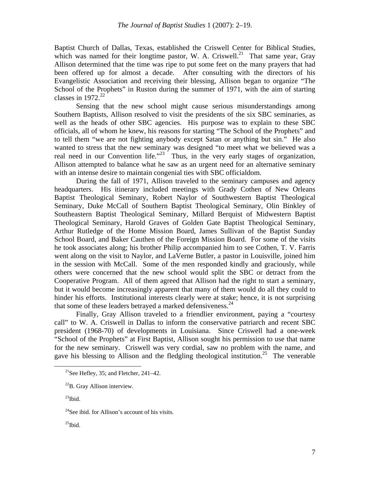Baptist Church of Dallas, Texas, established the Criswell Center for Biblical Studies, which was named for their longtime pastor, W. A. Criswell.<sup>21</sup> That same year, Gray Allison determined that the time was ripe to put some feet on the many prayers that had been offered up for almost a decade. After consulting with the directors of his Evangelistic Association and receiving their blessing, Allison began to organize "The School of the Prophets" in Ruston during the summer of 1971, with the aim of starting classes in  $1972.<sup>22</sup>$ 

Sensing that the new school might cause serious misunderstandings among Southern Baptists, Allison resolved to visit the presidents of the six SBC seminaries, as well as the heads of other SBC agencies. His purpose was to explain to these SBC officials, all of whom he knew, his reasons for starting "The School of the Prophets" and to tell them "we are not fighting anybody except Satan or anything but sin." He also wanted to stress that the new seminary was designed "to meet what we believed was a real need in our Convention life."<sup>23</sup> Thus, in the very early stages of organization, Allison attempted to balance what he saw as an urgent need for an alternative seminary with an intense desire to maintain congenial ties with SBC officialdom.

During the fall of 1971, Allison traveled to the seminary campuses and agency headquarters. His itinerary included meetings with Grady Cothen of New Orleans Baptist Theological Seminary, Robert Naylor of Southwestern Baptist Theological Seminary, Duke McCall of Southern Baptist Theological Seminary, Olin Binkley of Southeastern Baptist Theological Seminary, Millard Berquist of Midwestern Baptist Theological Seminary, Harold Graves of Golden Gate Baptist Theological Seminary, Arthur Rutledge of the Home Mission Board, James Sullivan of the Baptist Sunday School Board, and Baker Cauthen of the Foreign Mission Board. For some of the visits he took associates along; his brother Philip accompanied him to see Cothen, T. V. Farris went along on the visit to Naylor, and LaVerne Butler, a pastor in Louisville, joined him in the session with McCall. Some of the men responded kindly and graciously, while others were concerned that the new school would split the SBC or detract from the Cooperative Program. All of them agreed that Allison had the right to start a seminary, but it would become increasingly apparent that many of them would do all they could to hinder his efforts. Institutional interests clearly were at stake; hence, it is not surprising that some of these leaders betrayed a marked defensiveness.  $24$ 

Finally, Gray Allison traveled to a friendlier environment, paying a "courtesy call" to W. A. Criswell in Dallas to inform the conservative patriarch and recent SBC president (1968-70) of developments in Louisiana. Since Criswell had a one-week "School of the Prophets" at First Baptist, Allison sought his permission to use that name for the new seminary. Criswell was very cordial, saw no problem with the name, and gave his blessing to Allison and the fledgling theological institution.<sup>25</sup> The venerable

<sup>&</sup>lt;sup>21</sup>See Hefley, 35; and Fletcher, 241–42.

<sup>22</sup>B. Gray Allison interview.

 $^{23}$ Ibid.

 $24$ See ibid. for Allison's account of his visits.

 $^{25}$ Ibid.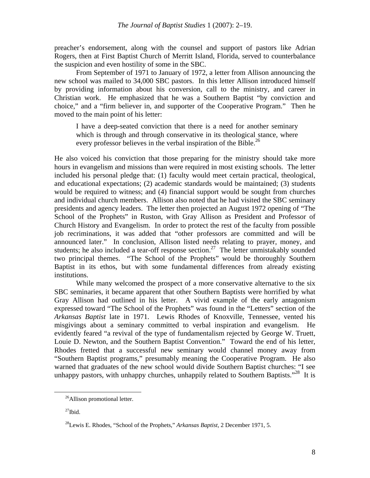preacher's endorsement, along with the counsel and support of pastors like Adrian Rogers, then at First Baptist Church of Merritt Island, Florida, served to counterbalance the suspicion and even hostility of some in the SBC.

From September of 1971 to January of 1972, a letter from Allison announcing the new school was mailed to 34,000 SBC pastors. In this letter Allison introduced himself by providing information about his conversion, call to the ministry, and career in Christian work. He emphasized that he was a Southern Baptist "by conviction and choice," and a "firm believer in, and supporter of the Cooperative Program." Then he moved to the main point of his letter:

I have a deep-seated conviction that there is a need for another seminary which is through and through conservative in its theological stance, where every professor believes in the verbal inspiration of the Bible.<sup>26</sup>

He also voiced his conviction that those preparing for the ministry should take more hours in evangelism and missions than were required in most existing schools. The letter included his personal pledge that: (1) faculty would meet certain practical, theological, and educational expectations; (2) academic standards would be maintained; (3) students would be required to witness; and (4) financial support would be sought from churches and individual church members. Allison also noted that he had visited the SBC seminary presidents and agency leaders. The letter then projected an August 1972 opening of "The School of the Prophets" in Ruston, with Gray Allison as President and Professor of Church History and Evangelism. In order to protect the rest of the faculty from possible job recriminations, it was added that "other professors are committed and will be announced later." In conclusion, Allison listed needs relating to prayer, money, and students; he also included a tear-off response section.<sup>27</sup> The letter unmistakably sounded two principal themes. "The School of the Prophets" would be thoroughly Southern Baptist in its ethos, but with some fundamental differences from already existing institutions.

While many welcomed the prospect of a more conservative alternative to the six SBC seminaries, it became apparent that other Southern Baptists were horrified by what Gray Allison had outlined in his letter. A vivid example of the early antagonism expressed toward "The School of the Prophets" was found in the "Letters" section of the *Arkansas Baptist* late in 1971. Lewis Rhodes of Knoxville, Tennessee, vented his misgivings about a seminary committed to verbal inspiration and evangelism. He evidently feared "a revival of the type of fundamentalism rejected by George W. Truett, Louie D. Newton, and the Southern Baptist Convention." Toward the end of his letter, Rhodes fretted that a successful new seminary would channel money away from "Southern Baptist programs," presumably meaning the Cooperative Program. He also warned that graduates of the new school would divide Southern Baptist churches: "I see unhappy pastors, with unhappy churches, unhappily related to Southern Baptists."<sup>28</sup> It is

<sup>&</sup>lt;sup>26</sup>Allison promotional letter.

 $^{27}$ Ibid.

<sup>28</sup>Lewis E. Rhodes, "School of the Prophets," *Arkansas Baptist*, 2 December 1971, 5.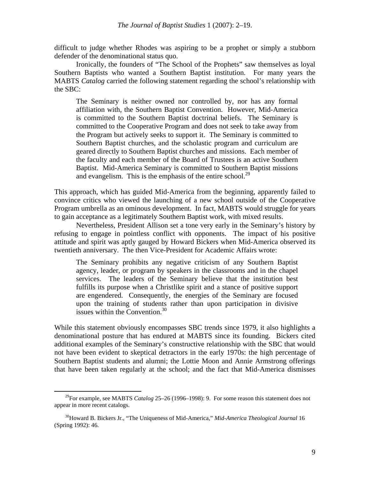difficult to judge whether Rhodes was aspiring to be a prophet or simply a stubborn defender of the denominational status quo.

Ironically, the founders of "The School of the Prophets" saw themselves as loyal Southern Baptists who wanted a Southern Baptist institution. For many years the MABTS *Catalog* carried the following statement regarding the school's relationship with the SBC:

The Seminary is neither owned nor controlled by, nor has any formal affiliation with, the Southern Baptist Convention. However, Mid-America is committed to the Southern Baptist doctrinal beliefs. The Seminary is committed to the Cooperative Program and does not seek to take away from the Program but actively seeks to support it. The Seminary is committed to Southern Baptist churches, and the scholastic program and curriculum are geared directly to Southern Baptist churches and missions. Each member of the faculty and each member of the Board of Trustees is an active Southern Baptist. Mid-America Seminary is committed to Southern Baptist missions and evangelism. This is the emphasis of the entire school.<sup>29</sup>

This approach, which has guided Mid-America from the beginning, apparently failed to convince critics who viewed the launching of a new school outside of the Cooperative Program umbrella as an ominous development. In fact, MABTS would struggle for years to gain acceptance as a legitimately Southern Baptist work, with mixed results.

Nevertheless, President Allison set a tone very early in the Seminary's history by refusing to engage in pointless conflict with opponents. The impact of his positive attitude and spirit was aptly gauged by Howard Bickers when Mid-America observed its twentieth anniversary. The then Vice-President for Academic Affairs wrote:

The Seminary prohibits any negative criticism of any Southern Baptist agency, leader, or program by speakers in the classrooms and in the chapel services. The leaders of the Seminary believe that the institution best fulfills its purpose when a Christlike spirit and a stance of positive support are engendered. Consequently, the energies of the Seminary are focused upon the training of students rather than upon participation in divisive issues within the Convention.30

While this statement obviously encompasses SBC trends since 1979, it also highlights a denominational posture that has endured at MABTS since its founding. Bickers cited additional examples of the Seminary's constructive relationship with the SBC that would not have been evident to skeptical detractors in the early 1970s: the high percentage of Southern Baptist students and alumni; the Lottie Moon and Annie Armstrong offerings that have been taken regularly at the school; and the fact that Mid-America dismisses

 <sup>29</sup>For example, see MABTS *Catalog* 25–26 (1996–1998): 9. For some reason this statement does not appear in more recent catalogs.

<sup>30</sup>Howard B. Bickers Jr., "The Uniqueness of Mid-America," *Mid-America Theological Journal* 16 (Spring 1992): 46.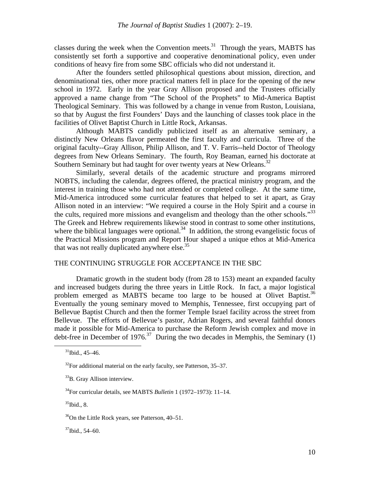classes during the week when the Convention meets. $31$  Through the years, MABTS has consistently set forth a supportive and cooperative denominational policy, even under conditions of heavy fire from some SBC officials who did not understand it.

After the founders settled philosophical questions about mission, direction, and denominational ties, other more practical matters fell in place for the opening of the new school in 1972. Early in the year Gray Allison proposed and the Trustees officially approved a name change from "The School of the Prophets" to Mid-America Baptist Theological Seminary. This was followed by a change in venue from Ruston, Louisiana, so that by August the first Founders' Days and the launching of classes took place in the facilities of Olivet Baptist Church in Little Rock, Arkansas.

Although MABTS candidly publicized itself as an alternative seminary, a distinctly New Orleans flavor permeated the first faculty and curricula. Three of the original faculty--Gray Allison, Philip Allison, and T. V. Farris--held Doctor of Theology degrees from New Orleans Seminary. The fourth, Roy Beaman, earned his doctorate at Southern Seminary but had taught for over twenty years at New Orleans.<sup>32</sup>

Similarly, several details of the academic structure and programs mirrored NOBTS, including the calendar, degrees offered, the practical ministry program, and the interest in training those who had not attended or completed college. At the same time, Mid-America introduced some curricular features that helped to set it apart, as Gray Allison noted in an interview: "We required a course in the Holy Spirit and a course in the cults, required more missions and evangelism and theology than the other schools."<sup>33</sup> The Greek and Hebrew requirements likewise stood in contrast to some other institutions, where the biblical languages were optional.<sup>34</sup> In addition, the strong evangelistic focus of the Practical Missions program and Report Hour shaped a unique ethos at Mid-America that was not really duplicated anywhere else. $35$ 

# THE CONTINUING STRUGGLE FOR ACCEPTANCE IN THE SBC

Dramatic growth in the student body (from 28 to 153) meant an expanded faculty and increased budgets during the three years in Little Rock. In fact, a major logistical problem emerged as MABTS became too large to be housed at Olivet Baptist.<sup>36</sup> Eventually the young seminary moved to Memphis, Tennessee, first occupying part of Bellevue Baptist Church and then the former Temple Israel facility across the street from Bellevue. The efforts of Bellevue's pastor, Adrian Rogers, and several faithful donors made it possible for Mid-America to purchase the Reform Jewish complex and move in debt-free in December of 1976.<sup>37</sup> During the two decades in Memphis, the Seminary (1)

 $31$ Ibid., 45–46.

 $32$ For additional material on the early faculty, see Patterson, 35–37.

<sup>&</sup>lt;sup>33</sup>B. Gray Allison interview.

<sup>34</sup>For curricular details, see MABTS *Bulletin* 1 (1972–1973): 11–14.

 $35$ Ibid., 8.

<sup>&</sup>lt;sup>36</sup>On the Little Rock years, see Patterson, 40–51.

 $37$ Ibid., 54–60.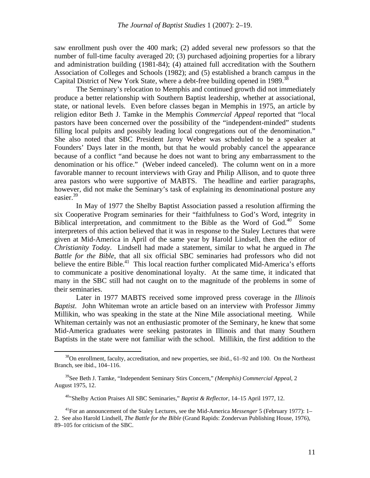saw enrollment push over the 400 mark; (2) added several new professors so that the number of full-time faculty averaged 20; (3) purchased adjoining properties for a library and administration building (1981-84); (4) attained full accreditation with the Southern Association of Colleges and Schools (1982); and (5) established a branch campus in the Capital District of New York State, where a debt-free building opened in 1989.<sup>38</sup>

The Seminary's relocation to Memphis and continued growth did not immediately produce a better relationship with Southern Baptist leadership, whether at associational, state, or national levels. Even before classes began in Memphis in 1975, an article by religion editor Beth J. Tamke in the Memphis *Commercial Appeal* reported that "local pastors have been concerned over the possibility of the "independent-minded" students filling local pulpits and possibly leading local congregations out of the denomination." She also noted that SBC President Jaroy Weber was scheduled to be a speaker at Founders' Days later in the month, but that he would probably cancel the appearance because of a conflict "and because he does not want to bring any embarrassment to the denomination or his office." (Weber indeed canceled). The column went on in a more favorable manner to recount interviews with Gray and Philip Allison, and to quote three area pastors who were supportive of MABTS. The headline and earlier paragraphs, however, did not make the Seminary's task of explaining its denominational posture any easier.39

In May of 1977 the Shelby Baptist Association passed a resolution affirming the six Cooperative Program seminaries for their "faithfulness to God's Word, integrity in Biblical interpretation, and commitment to the Bible as the Word of God. $40$  Some interpreters of this action believed that it was in response to the Staley Lectures that were given at Mid-America in April of the same year by Harold Lindsell, then the editor of *Christianity Today*. Lindsell had made a statement, similar to what he argued in *The Battle for the Bible*, that all six official SBC seminaries had professors who did not believe the entire Bible.<sup>41</sup> This local reaction further complicated Mid-America's efforts to communicate a positive denominational loyalty. At the same time, it indicated that many in the SBC still had not caught on to the magnitude of the problems in some of their seminaries.

Later in 1977 MABTS received some improved press coverage in the *Illinois Baptist*. John Whiteman wrote an article based on an interview with Professor Jimmy Millikin, who was speaking in the state at the Nine Mile associational meeting. While Whiteman certainly was not an enthusiastic promoter of the Seminary, he knew that some Mid-America graduates were seeking pastorates in Illinois and that many Southern Baptists in the state were not familiar with the school. Millikin, the first addition to the

 $38$ On enrollment, faculty, accreditation, and new properties, see ibid., 61–92 and 100. On the Northeast Branch, see ibid., 104–116.

<sup>39</sup>See Beth J. Tamke, "Independent Seminary Stirs Concern," *(Memphis) Commercial Appeal*, 2 August 1975, 12.

<sup>40&</sup>quot;Shelby Action Praises All SBC Seminaries," *Baptist & Reflector*, 14–15 April 1977, 12.

<sup>41</sup>For an announcement of the Staley Lectures, see the Mid-America *Messenger* 5 (February 1977): 1– 2. See also Harold Lindsell, *The Battle for the Bible* (Grand Rapids: Zondervan Publishing House, 1976), 89–105 for criticism of the SBC.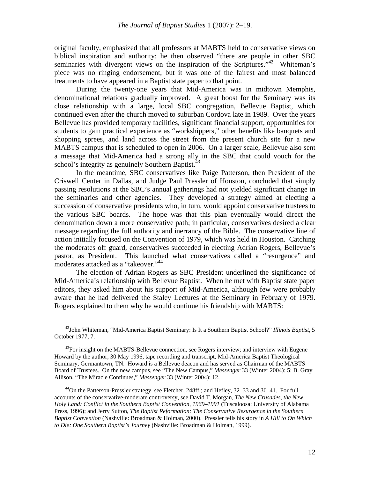original faculty, emphasized that all professors at MABTS held to conservative views on biblical inspiration and authority; he then observed "there are people in other SBC seminaries with divergent views on the inspiration of the Scriptures."<sup>42</sup> Whiteman's piece was no ringing endorsement, but it was one of the fairest and most balanced treatments to have appeared in a Baptist state paper to that point.

During the twenty-one years that Mid-America was in midtown Memphis, denominational relations gradually improved. A great boost for the Seminary was its close relationship with a large, local SBC congregation, Bellevue Baptist, which continued even after the church moved to suburban Cordova late in 1989. Over the years Bellevue has provided temporary facilities, significant financial support, opportunities for students to gain practical experience as "workshippers," other benefits like banquets and shopping sprees, and land across the street from the present church site for a new MABTS campus that is scheduled to open in 2006. On a larger scale, Bellevue also sent a message that Mid-America had a strong ally in the SBC that could vouch for the school's integrity as genuinely Southern Baptist.<sup>43</sup>

In the meantime, SBC conservatives like Paige Patterson, then President of the Criswell Center in Dallas, and Judge Paul Pressler of Houston, concluded that simply passing resolutions at the SBC's annual gatherings had not yielded significant change in the seminaries and other agencies. They developed a strategy aimed at electing a succession of conservative presidents who, in turn, would appoint conservative trustees to the various SBC boards. The hope was that this plan eventually would direct the denomination down a more conservative path; in particular, conservatives desired a clear message regarding the full authority and inerrancy of the Bible. The conservative line of action initially focused on the Convention of 1979, which was held in Houston. Catching the moderates off guard, conservatives succeeded in electing Adrian Rogers, Bellevue's pastor, as President. This launched what conservatives called a "resurgence" and moderates attacked as a "takeover."<sup>44</sup>

The election of Adrian Rogers as SBC President underlined the significance of Mid-America's relationship with Bellevue Baptist. When he met with Baptist state paper editors, they asked him about his support of Mid-America, although few were probably aware that he had delivered the Staley Lectures at the Seminary in February of 1979. Rogers explained to them why he would continue his friendship with MABTS:

 <sup>42</sup>John Whiteman, "Mid-America Baptist Seminary: Is It a Southern Baptist School?" *Illinois Baptist*, 5 October 1977, 7.

 $43$ For insight on the MABTS-Bellevue connection, see Rogers interview; and interview with Eugene Howard by the author, 30 May 1996, tape recording and transcript, Mid-America Baptist Theological Seminary, Germantown, TN. Howard is a Bellevue deacon and has served as Chairman of the MABTS Board of Trustees. On the new campus, see "The New Campus," *Messenger* 33 (Winter 2004): 5; B. Gray Allison, "The Miracle Continues," *Messenger* 33 (Winter 2004): 12.

<sup>44</sup>On the Patterson-Pressler strategy, see Fletcher, 248ff.; and Hefley, 32–33 and 36–41. For full accounts of the conservative-moderate controversy, see David T. Morgan, *The New Crusades, the New Holy Land: Conflict in the Southern Baptist Convention, 1969–1991* (Tuscaloosa: University of Alabama Press, 1996); and Jerry Sutton, *The Baptist Reformation: The Conservative Resurgence in the Southern Baptist Convention* (Nashville: Broadman & Holman, 2000). Pressler tells his story in *A Hill to On Which to Die: One Southern Baptist's Journey* (Nashville: Broadman & Holman, 1999).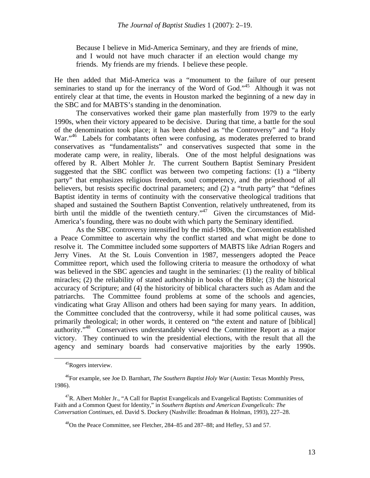Because I believe in Mid-America Seminary, and they are friends of mine, and I would not have much character if an election would change my friends. My friends are my friends. I believe these people.

He then added that Mid-America was a "monument to the failure of our present seminaries to stand up for the inerrancy of the Word of God."<sup>45</sup> Although it was not entirely clear at that time, the events in Houston marked the beginning of a new day in the SBC and for MABTS's standing in the denomination.

The conservatives worked their game plan masterfully from 1979 to the early 1990s, when their victory appeared to be decisive. During that time, a battle for the soul of the denomination took place; it has been dubbed as "the Controversy" and "a Holy War."<sup>46</sup> Labels for combatants often were confusing, as moderates preferred to brand conservatives as "fundamentalists" and conservatives suspected that some in the moderate camp were, in reality, liberals. One of the most helpful designations was offered by R. Albert Mohler Jr. The current Southern Baptist Seminary President suggested that the SBC conflict was between two competing factions: (1) a "liberty party" that emphasizes religious freedom, soul competency, and the priesthood of all believers, but resists specific doctrinal parameters; and (2) a "truth party" that "defines Baptist identity in terms of continuity with the conservative theological traditions that shaped and sustained the Southern Baptist Convention, relatively unthreatened, from its birth until the middle of the twentieth century."<sup>47</sup> Given the circumstances of Mid-America's founding, there was no doubt with which party the Seminary identified.

As the SBC controversy intensified by the mid-1980s, the Convention established a Peace Committee to ascertain why the conflict started and what might be done to resolve it. The Committee included some supporters of MABTS like Adrian Rogers and Jerry Vines. At the St. Louis Convention in 1987, messengers adopted the Peace Committee report, which used the following criteria to measure the orthodoxy of what was believed in the SBC agencies and taught in the seminaries: (1) the reality of biblical miracles; (2) the reliability of stated authorship in books of the Bible; (3) the historical accuracy of Scripture; and (4) the historicity of biblical characters such as Adam and the patriarchs. The Committee found problems at some of the schools and agencies, vindicating what Gray Allison and others had been saying for many years. In addition, the Committee concluded that the controversy, while it had some political causes, was primarily theological; in other words, it centered on "the extent and nature of [biblical] authority."48 Conservatives understandably viewed the Committee Report as a major victory. They continued to win the presidential elections, with the result that all the agency and seminary boards had conservative majorities by the early 1990s.

 <sup>45</sup>Rogers interview.

<sup>46</sup>For example, see Joe D. Barnhart, *The Southern Baptist Holy War* (Austin: Texas Monthly Press, 1986).

 $47R$ . Albert Mohler Jr., "A Call for Baptist Evangelicals and Evangelical Baptists: Communities of Faith and a Common Quest for Identity," in *Southern Baptists and American Evangelicals: The Conversation Continues*, ed. David S. Dockery (Nashville: Broadman & Holman, 1993), 227–28.

<sup>&</sup>lt;sup>48</sup>On the Peace Committee, see Fletcher, 284–85 and 287–88; and Hefley, 53 and 57.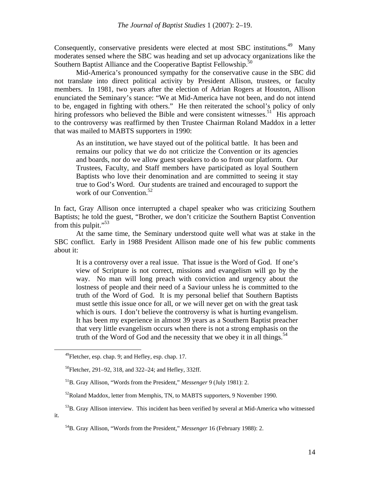Consequently, conservative presidents were elected at most SBC institutions.<sup>49</sup> Many moderates sensed where the SBC was heading and set up advocacy organizations like the Southern Baptist Alliance and the Cooperative Baptist Fellowship.<sup>50</sup>

Mid-America's pronounced sympathy for the conservative cause in the SBC did not translate into direct political activity by President Allison, trustees, or faculty members. In 1981, two years after the election of Adrian Rogers at Houston, Allison enunciated the Seminary's stance: "We at Mid-America have not been, and do not intend to be, engaged in fighting with others." He then reiterated the school's policy of only hiring professors who believed the Bible and were consistent witnesses.<sup>51</sup> His approach to the controversy was reaffirmed by then Trustee Chairman Roland Maddox in a letter that was mailed to MABTS supporters in 1990:

As an institution, we have stayed out of the political battle. It has been and remains our policy that we do not criticize the Convention or its agencies and boards, nor do we allow guest speakers to do so from our platform. Our Trustees, Faculty, and Staff members have participated as loyal Southern Baptists who love their denomination and are committed to seeing it stay true to God's Word. Our students are trained and encouraged to support the work of our Convention. $52$ 

In fact, Gray Allison once interrupted a chapel speaker who was criticizing Southern Baptists; he told the guest, "Brother, we don't criticize the Southern Baptist Convention from this pulpit."<sup>53</sup>

At the same time, the Seminary understood quite well what was at stake in the SBC conflict. Early in 1988 President Allison made one of his few public comments about it:

It is a controversy over a real issue. That issue is the Word of God. If one's view of Scripture is not correct, missions and evangelism will go by the way. No man will long preach with conviction and urgency about the lostness of people and their need of a Saviour unless he is committed to the truth of the Word of God. It is my personal belief that Southern Baptists must settle this issue once for all, or we will never get on with the great task which is ours. I don't believe the controversy is what is hurting evangelism. It has been my experience in almost 39 years as a Southern Baptist preacher that very little evangelism occurs when there is not a strong emphasis on the truth of the Word of God and the necessity that we obey it in all things.<sup>54</sup>

 $^{49}$ Fletcher, esp. chap. 9; and Hefley, esp. chap. 17.

<sup>50</sup>Fletcher, 291–92, 318, and 322–24; and Hefley, 332ff.

<sup>51</sup>B. Gray Allison, "Words from the President," *Messenger* 9 (July 1981): 2.

<sup>&</sup>lt;sup>52</sup>Roland Maddox, letter from Memphis, TN, to MABTS supporters, 9 November 1990.

<sup>&</sup>lt;sup>53</sup>B. Gray Allison interview. This incident has been verified by several at Mid-America who witnessed it.

<sup>54</sup>B. Gray Allison, "Words from the President," *Messenger* 16 (February 1988): 2.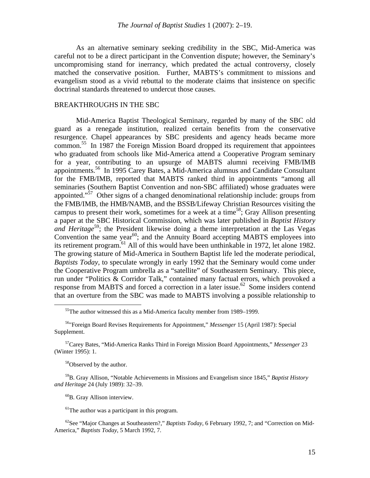As an alternative seminary seeking credibility in the SBC, Mid-America was careful not to be a direct participant in the Convention dispute; however, the Seminary's uncompromising stand for inerrancy, which predated the actual controversy, closely matched the conservative position. Further, MABTS's commitment to missions and evangelism stood as a vivid rebuttal to the moderate claims that insistence on specific doctrinal standards threatened to undercut those causes.

### BREAKTHROUGHS IN THE SBC

Mid-America Baptist Theological Seminary, regarded by many of the SBC old guard as a renegade institution, realized certain benefits from the conservative resurgence. Chapel appearances by SBC presidents and agency heads became more common.55 In 1987 the Foreign Mission Board dropped its requirement that appointees who graduated from schools like Mid-America attend a Cooperative Program seminary for a year, contributing to an upsurge of MABTS alumni receiving FMB/IMB appointments.<sup>56</sup> In 1995 Carey Bates, a Mid-America alumnus and Candidate Consultant for the FMB/IMB, reported that MABTS ranked third in appointments "among all seminaries (Southern Baptist Convention and non-SBC affiliated) whose graduates were appointed."57 Other signs of a changed denominational relationship include: groups from the FMB/IMB, the HMB/NAMB, and the BSSB/Lifeway Christian Resources visiting the campus to present their work, sometimes for a week at a time<sup>58</sup>; Gray Allison presenting a paper at the SBC Historical Commission, which was later published in *Baptist History and Heritage*<sup>59</sup>; the President likewise doing a theme interpretation at the Las Vegas Convention the same year<sup>60</sup>; and the Annuity Board accepting MABTS employees into its retirement program.<sup>61</sup> All of this would have been unthinkable in 1972, let alone 1982. The growing stature of Mid-America in Southern Baptist life led the moderate periodical, *Baptists Today*, to speculate wrongly in early 1992 that the Seminary would come under the Cooperative Program umbrella as a "satellite" of Southeastern Seminary. This piece, run under "Politics & Corridor Talk," contained many factual errors, which provoked a response from MABTS and forced a correction in a later issue.<sup>62</sup> Some insiders contend that an overture from the SBC was made to MABTS involving a possible relationship to

58Observed by the author.

59B. Gray Allison, "Notable Achievements in Missions and Evangelism since 1845," *Baptist History and Heritage* 24 (July 1989): 32–39.

60B. Gray Allison interview.

62See "Major Changes at Southeastern?," *Baptists Today*, 6 February 1992, 7; and "Correction on Mid-America," *Baptists Today*, 5 March 1992, 7.

 $55$ The author witnessed this as a Mid-America faculty member from 1989–1999.

<sup>56&</sup>quot;Foreign Board Revises Requirements for Appointment," *Messenger* 15 (April 1987): Special Supplement.

<sup>57</sup>Carey Bates, "Mid-America Ranks Third in Foreign Mission Board Appointments," *Messenger* 23 (Winter 1995): 1.

 $<sup>61</sup>$ The author was a participant in this program.</sup>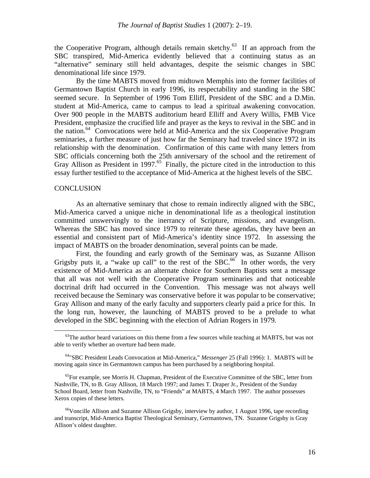the Cooperative Program, although details remain sketchy.<sup>63</sup> If an approach from the SBC transpired, Mid-America evidently believed that a continuing status as an "alternative" seminary still held advantages, despite the seismic changes in SBC denominational life since 1979.

By the time MABTS moved from midtown Memphis into the former facilities of Germantown Baptist Church in early 1996, its respectability and standing in the SBC seemed secure. In September of 1996 Tom Elliff, President of the SBC and a D.Min. student at Mid-America, came to campus to lead a spiritual awakening convocation. Over 900 people in the MABTS auditorium heard Elliff and Avery Willis, FMB Vice President, emphasize the crucified life and prayer as the keys to revival in the SBC and in the nation.64 Convocations were held at Mid-America and the six Cooperative Program seminaries, a further measure of just how far the Seminary had traveled since 1972 in its relationship with the denomination. Confirmation of this came with many letters from SBC officials concerning both the 25th anniversary of the school and the retirement of Gray Allison as President in 1997.<sup>65</sup> Finally, the picture cited in the introduction to this essay further testified to the acceptance of Mid-America at the highest levels of the SBC.

### **CONCLUSION**

As an alternative seminary that chose to remain indirectly aligned with the SBC, Mid-America carved a unique niche in denominational life as a theological institution committed unswervingly to the inerrancy of Scripture, missions, and evangelism. Whereas the SBC has moved since 1979 to reiterate these agendas, they have been an essential and consistent part of Mid-America's identity since 1972. In assessing the impact of MABTS on the broader denomination, several points can be made.

First, the founding and early growth of the Seminary was, as Suzanne Allison Grigsby puts it, a "wake up call" to the rest of the SBC.<sup>66</sup> In other words, the very existence of Mid-America as an alternate choice for Southern Baptists sent a message that all was not well with the Cooperative Program seminaries and that noticeable doctrinal drift had occurred in the Convention. This message was not always well received because the Seminary was conservative before it was popular to be conservative; Gray Allison and many of the early faculty and supporters clearly paid a price for this. In the long run, however, the launching of MABTS proved to be a prelude to what developed in the SBC beginning with the election of Adrian Rogers in 1979.

 $63$ The author heard variations on this theme from a few sources while teaching at MABTS, but was not able to verify whether an overture had been made.

<sup>64&</sup>quot;SBC President Leads Convocation at Mid-America," *Messenger* 25 (Fall 1996): 1. MABTS will be moving again since its Germantown campus has been purchased by a neighboring hospital.

 $<sup>65</sup>$  For example, see Morris H. Chapman, President of the Executive Committee of the SBC, letter from</sup> Nashville, TN, to B. Gray Allison, 18 March 1997; and James T. Draper Jr., President of the Sunday School Board, letter from Nashville, TN, to "Friends" at MABTS, 4 March 1997. The author possesses Xerox copies of these letters.

 $^{66}$ Voncille Allison and Suzanne Allison Grigsby, interview by author, 1 August 1996, tape recording and transcript, Mid-America Baptist Theological Seminary, Germantown, TN. Suzanne Grigsby is Gray Allison's oldest daughter.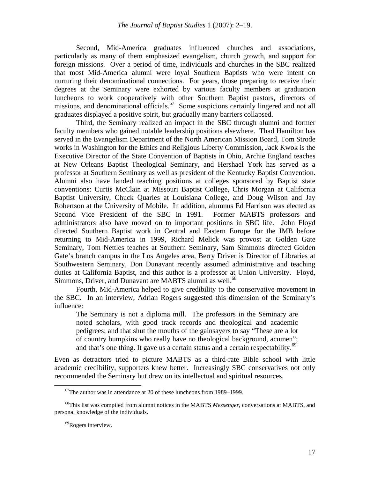Second, Mid-America graduates influenced churches and associations, particularly as many of them emphasized evangelism, church growth, and support for foreign missions. Over a period of time, individuals and churches in the SBC realized that most Mid-America alumni were loyal Southern Baptists who were intent on nurturing their denominational connections. For years, those preparing to receive their degrees at the Seminary were exhorted by various faculty members at graduation luncheons to work cooperatively with other Southern Baptist pastors, directors of missions, and denominational officials.<sup>67</sup> Some suspicions certainly lingered and not all graduates displayed a positive spirit, but gradually many barriers collapsed.

Third, the Seminary realized an impact in the SBC through alumni and former faculty members who gained notable leadership positions elsewhere. Thad Hamilton has served in the Evangelism Department of the North American Mission Board, Tom Strode works in Washington for the Ethics and Religious Liberty Commission, Jack Kwok is the Executive Director of the State Convention of Baptists in Ohio, Archie England teaches at New Orleans Baptist Theological Seminary, and Hershael York has served as a professor at Southern Seminary as well as president of the Kentucky Baptist Convention. Alumni also have landed teaching positions at colleges sponsored by Baptist state conventions: Curtis McClain at Missouri Baptist College, Chris Morgan at California Baptist University, Chuck Quarles at Louisiana College, and Doug Wilson and Jay Robertson at the University of Mobile. In addition, alumnus Ed Harrison was elected as Second Vice President of the SBC in 1991. Former MABTS professors and administrators also have moved on to important positions in SBC life. John Floyd directed Southern Baptist work in Central and Eastern Europe for the IMB before returning to Mid-America in 1999, Richard Melick was provost at Golden Gate Seminary, Tom Nettles teaches at Southern Seminary, Sam Simmons directed Golden Gate's branch campus in the Los Angeles area, Berry Driver is Director of Libraries at Southwestern Seminary, Don Dunavant recently assumed administrative and teaching duties at California Baptist, and this author is a professor at Union University. Floyd, Simmons, Driver, and Dunavant are MABTS alumni as well.<sup>68</sup>

Fourth, Mid-America helped to give credibility to the conservative movement in the SBC. In an interview, Adrian Rogers suggested this dimension of the Seminary's influence:

The Seminary is not a diploma mill. The professors in the Seminary are noted scholars, with good track records and theological and academic pedigrees; and that shut the mouths of the gainsayers to say "These are a lot of country bumpkins who really have no theological background, acumen"; and that's one thing. It gave us a certain status and a certain respectability.<sup>69</sup>

Even as detractors tried to picture MABTS as a third-rate Bible school with little academic credibility, supporters knew better. Increasingly SBC conservatives not only recommended the Seminary but drew on its intellectual and spiritual resources.

 $67$ The author was in attendance at 20 of these luncheons from 1989–1999.

<sup>68</sup>This list was compiled from alumni notices in the MABTS *Messenger*, conversations at MABTS, and personal knowledge of the individuals.

<sup>&</sup>lt;sup>69</sup>Rogers interview.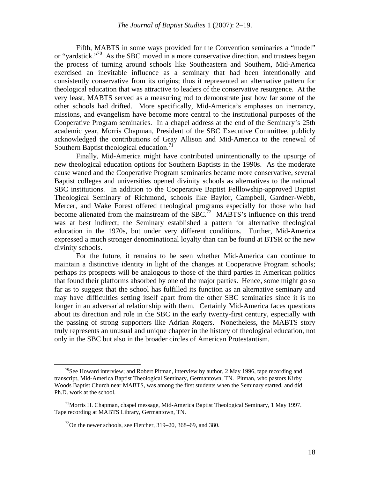Fifth, MABTS in some ways provided for the Convention seminaries a "model" or "yardstick."<sup>70</sup> As the SBC moved in a more conservative direction, and trustees began the process of turning around schools like Southeastern and Southern, Mid-America exercised an inevitable influence as a seminary that had been intentionally and consistently conservative from its origins; thus it represented an alternative pattern for theological education that was attractive to leaders of the conservative resurgence. At the very least, MABTS served as a measuring rod to demonstrate just how far some of the other schools had drifted. More specifically, Mid-America's emphases on inerrancy, missions, and evangelism have become more central to the institutional purposes of the Cooperative Program seminaries. In a chapel address at the end of the Seminary's 25th academic year, Morris Chapman, President of the SBC Executive Committee, publicly acknowledged the contributions of Gray Allison and Mid-America to the renewal of Southern Baptist theological education.<sup>71</sup>

Finally, Mid-America might have contributed unintentionally to the upsurge of new theological education options for Southern Baptists in the 1990s. As the moderate cause waned and the Cooperative Program seminaries became more conservative, several Baptist colleges and universities opened divinity schools as alternatives to the national SBC institutions. In addition to the Cooperative Baptist Felllowship-approved Baptist Theological Seminary of Richmond, schools like Baylor, Campbell, Gardner-Webb, Mercer, and Wake Forest offered theological programs especially for those who had become alienated from the mainstream of the  $SBC<sup>72</sup>$  MABTS's influence on this trend was at best indirect; the Seminary established a pattern for alternative theological education in the 1970s, but under very different conditions. Further, Mid-America expressed a much stronger denominational loyalty than can be found at BTSR or the new divinity schools.

For the future, it remains to be seen whether Mid-America can continue to maintain a distinctive identity in light of the changes at Cooperative Program schools; perhaps its prospects will be analogous to those of the third parties in American politics that found their platforms absorbed by one of the major parties. Hence, some might go so far as to suggest that the school has fulfilled its function as an alternative seminary and may have difficulties setting itself apart from the other SBC seminaries since it is no longer in an adversarial relationship with them. Certainly Mid-America faces questions about its direction and role in the SBC in the early twenty-first century, especially with the passing of strong supporters like Adrian Rogers. Nonetheless, the MABTS story truly represents an unusual and unique chapter in the history of theological education, not only in the SBC but also in the broader circles of American Protestantism.

<sup>&</sup>lt;sup>70</sup>See Howard interview; and Robert Pitman, interview by author, 2 May 1996, tape recording and transcript, Mid-America Baptist Theological Seminary, Germantown, TN. Pitman, who pastors Kirby Woods Baptist Church near MABTS, was among the first students when the Seminary started, and did Ph.D. work at the school.

<sup>&</sup>lt;sup>71</sup>Morris H. Chapman, chapel message, Mid-America Baptist Theological Seminary, 1 May 1997. Tape recording at MABTS Library, Germantown, TN.

 $72$ On the newer schools, see Fletcher, 319–20, 368–69, and 380.